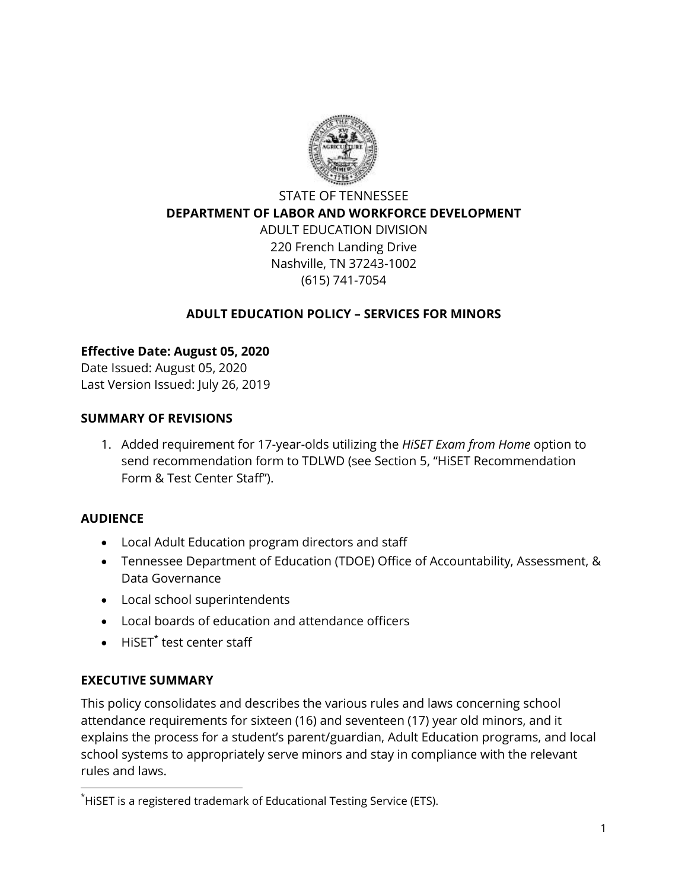

# STATE OF TENNESSEE **DEPARTMENT OF LABOR AND WORKFORCE DEVELOPMENT** ADULT EDUCATION DIVISION 220 French Landing Drive Nashville, TN 37243-1002 (615) 741-7054

#### **ADULT EDUCATION POLICY – SERVICES FOR MINORS**

### **Effective Date: August 05, 2020**

Date Issued: August 05, 2020 Last Version Issued: July 26, 2019

#### **SUMMARY OF REVISIONS**

1. Added requirement for 17-year-olds utilizing the *HiSET Exam from Home* option to send recommendation form to TDLWD (see Section 5, "HiSET Recommendation Form & Test Center Staff").

#### **AUDIENCE**

 $\overline{a}$ 

- Local Adult Education program directors and staff
- Tennessee Department of Education (TDOE) Office of Accountability, Assessment, & Data Governance
- Local school superintendents
- Local boards of education and attendance officers
- HiSET**\*** test center staff

#### **EXECUTIVE SUMMARY**

This policy consolidates and describes the various rules and laws concerning school attendance requirements for sixteen (16) and seventeen (17) year old minors, and it explains the process for a student's parent/guardian, Adult Education programs, and local school systems to appropriately serve minors and stay in compliance with the relevant rules and laws.

<sup>\*</sup>HiSET is a registered trademark of Educational Testing Service (ETS).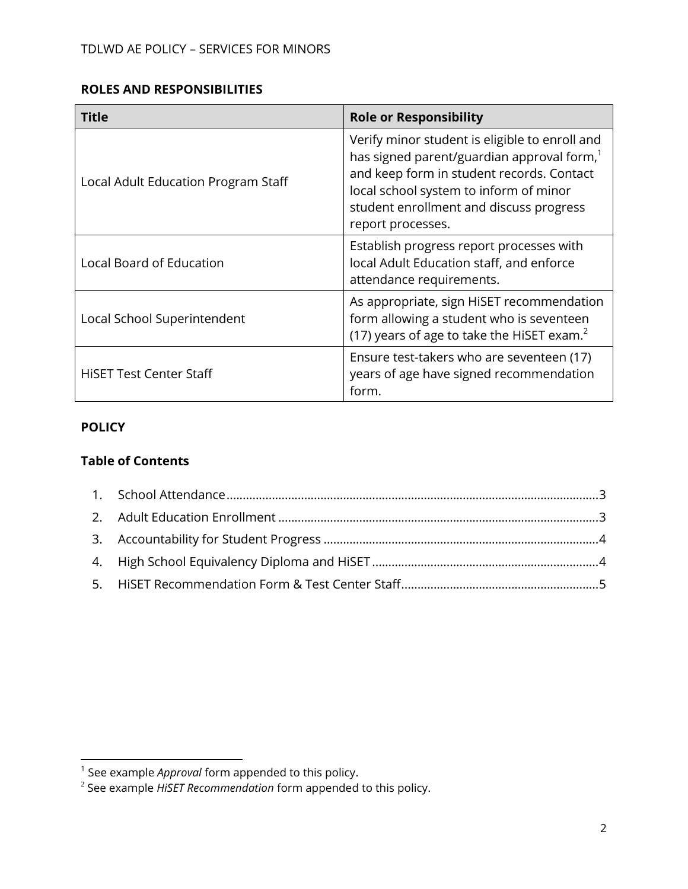#### **ROLES AND RESPONSIBILITIES**

| Title                               | <b>Role or Responsibility</b>                                                                                                                                                                                                                                   |
|-------------------------------------|-----------------------------------------------------------------------------------------------------------------------------------------------------------------------------------------------------------------------------------------------------------------|
| Local Adult Education Program Staff | Verify minor student is eligible to enroll and<br>has signed parent/guardian approval form, <sup>1</sup><br>and keep form in student records. Contact<br>local school system to inform of minor<br>student enrollment and discuss progress<br>report processes. |
| <b>Local Board of Education</b>     | Establish progress report processes with<br>local Adult Education staff, and enforce<br>attendance requirements.                                                                                                                                                |
| Local School Superintendent         | As appropriate, sign HiSET recommendation<br>form allowing a student who is seventeen<br>(17) years of age to take the HiSET exam. <sup>2</sup>                                                                                                                 |
| <b>HiSET Test Center Staff</b>      | Ensure test-takers who are seventeen (17)<br>years of age have signed recommendation<br>form.                                                                                                                                                                   |

#### **POLICY**

#### **Table of Contents**

<span id="page-1-0"></span>

 1 See example *Approval* form appended to this policy.

<sup>2</sup> See example *HiSET Recommendation* form appended to this policy.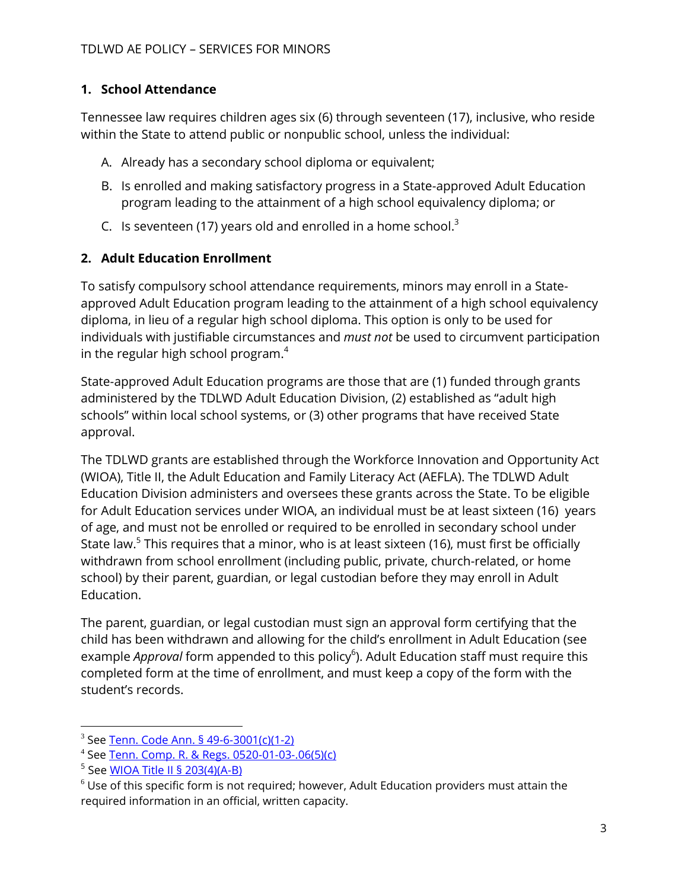# **1. School Attendance**

Tennessee law requires children ages six (6) through seventeen (17), inclusive, who reside within the State to attend public or nonpublic school, unless the individual:

- A. Already has a secondary school diploma or equivalent;
- B. Is enrolled and making satisfactory progress in a State-approved Adult Education program leading to the attainment of a high school equivalency diploma; or
- C. Is seventeen (17) years old and enrolled in a home school. $3$

## <span id="page-2-0"></span>**2. Adult Education Enrollment**

To satisfy compulsory school attendance requirements, minors may enroll in a Stateapproved Adult Education program leading to the attainment of a high school equivalency diploma, in lieu of a regular high school diploma. This option is only to be used for individuals with justifiable circumstances and *must not* be used to circumvent participation in the regular high school program. $4$ 

State-approved Adult Education programs are those that are (1) funded through grants administered by the TDLWD Adult Education Division, (2) established as "adult high schools" within local school systems, or (3) other programs that have received State approval.

The TDLWD grants are established through the Workforce Innovation and Opportunity Act (WIOA), Title II, the Adult Education and Family Literacy Act (AEFLA). The TDLWD Adult Education Division administers and oversees these grants across the State. To be eligible for Adult Education services under WIOA, an individual must be at least sixteen (16) years of age, and must not be enrolled or required to be enrolled in secondary school under State law.<sup>5</sup> This requires that a minor, who is at least sixteen (16), must first be officially withdrawn from school enrollment (including public, private, church-related, or home school) by their parent, guardian, or legal custodian before they may enroll in Adult Education.

The parent, guardian, or legal custodian must sign an approval form certifying that the child has been withdrawn and allowing for the child's enrollment in Adult Education (see example *Approval* form appended to this policy<sup>6</sup>). Adult Education staff must require this completed form at the time of enrollment, and must keep a copy of the form with the student's records.

 $\overline{a}$ 

<sup>3</sup> See [Tenn. Code Ann. § 49-6-3001\(c\)\(1-2\)](https://codes.findlaw.com/tn/title-49-education/tn-code-sect-49-6-3001.html)

<sup>4</sup> See [Tenn. Comp. R. & Regs. 0520-01-03-.06\(5\)\(c\)](https://publications.tnsosfiles.com/rules/0520/0520-01/0520-01-03.20180123.pdf)

<sup>&</sup>lt;sup>5</sup> See <u>WIOA Title II § 203(4)(A-B)</u>

 $6$  Use of this specific form is not required; however, Adult Education providers must attain the required information in an official, written capacity.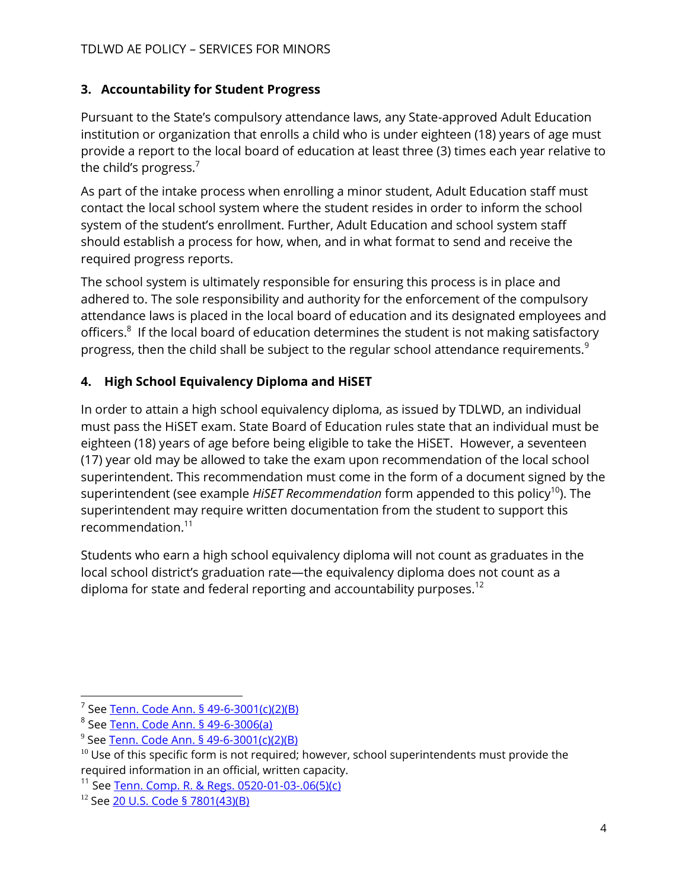## <span id="page-3-0"></span>**3. Accountability for Student Progress**

Pursuant to the State's compulsory attendance laws, any State-approved Adult Education institution or organization that enrolls a child who is under eighteen (18) years of age must provide a report to the local board of education at least three (3) times each year relative to the child's progress. $<sup>7</sup>$ </sup>

As part of the intake process when enrolling a minor student, Adult Education staff must contact the local school system where the student resides in order to inform the school system of the student's enrollment. Further, Adult Education and school system staff should establish a process for how, when, and in what format to send and receive the required progress reports.

The school system is ultimately responsible for ensuring this process is in place and adhered to. The sole responsibility and authority for the enforcement of the compulsory attendance laws is placed in the local board of education and its designated employees and officers.<sup>8</sup> If the local board of education determines the student is not making satisfactory progress, then the child shall be subject to the regular school attendance requirements.<sup>9</sup>

# <span id="page-3-1"></span>**4. High School Equivalency Diploma and HiSET**

In order to attain a high school equivalency diploma, as issued by TDLWD, an individual must pass the HiSET exam. State Board of Education rules state that an individual must be eighteen (18) years of age before being eligible to take the HiSET. However, a seventeen (17) year old may be allowed to take the exam upon recommendation of the local school superintendent. This recommendation must come in the form of a document signed by the superintendent (see example *HiSET Recommendation* form appended to this policy<sup>10</sup>). The superintendent may require written documentation from the student to support this recommendation.<sup>11</sup>

<span id="page-3-2"></span>Students who earn a high school equivalency diploma will not count as graduates in the local school district's graduation rate—the equivalency diploma does not count as a diploma for state and federal reporting and accountability purposes.<sup>12</sup>

 $\overline{a}$ 

<sup>&</sup>lt;sup>7</sup> See <u>Tenn. Code Ann. § 49-6-3001(c)(2)(B)</u>

<sup>&</sup>lt;sup>8</sup> See <u>Tenn. Code Ann. § 49-6-3006(a</u>)

<sup>&</sup>lt;sup>9</sup> See <u>Tenn. Code Ann. § 49-6-3001(c)(2)(B)</u>

 $10$  Use of this specific form is not required; however, school superintendents must provide the required information in an official, written capacity.

<sup>11</sup> See [Tenn. Comp. R. & Regs. 0520-01-03-.06\(5\)\(c\)](https://publications.tnsosfiles.com/rules/0520/0520-01/0520-01-03.20180123.pdf)

<sup>12</sup> See [20 U.S. Code §](https://www.govinfo.gov/content/pkg/USCODE-2015-title20/pdf/USCODE-2015-title20-chap70-subchapVIII-partA-sec7801.pdf#page=7) 7801(43)(B)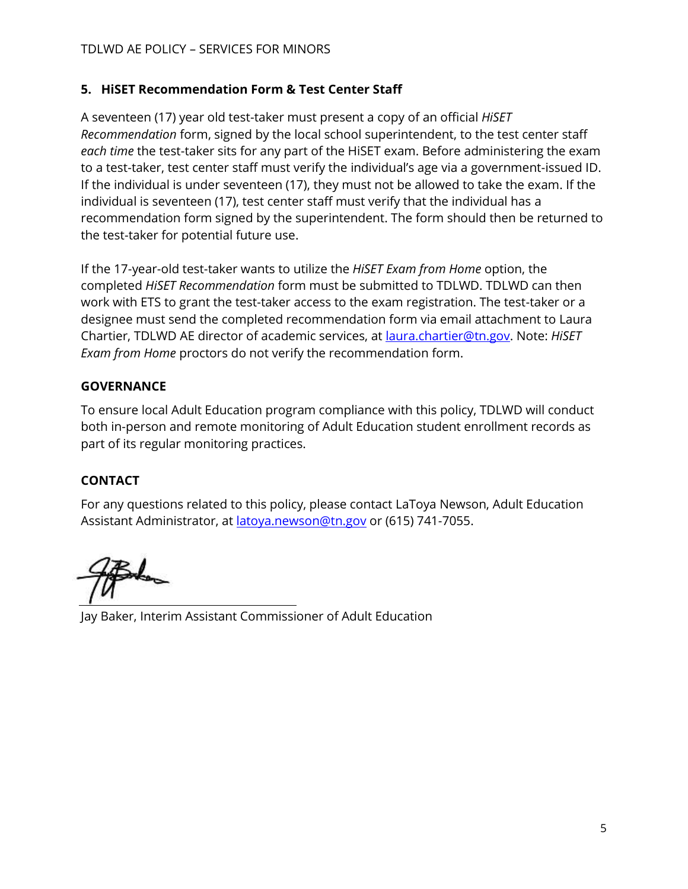## **5. HiSET Recommendation Form & Test Center Staff**

A seventeen (17) year old test-taker must present a copy of an official *HiSET Recommendation* form, signed by the local school superintendent, to the test center staff *each time* the test-taker sits for any part of the HiSET exam. Before administering the exam to a test-taker, test center staff must verify the individual's age via a government-issued ID. If the individual is under seventeen (17), they must not be allowed to take the exam. If the individual is seventeen (17), test center staff must verify that the individual has a recommendation form signed by the superintendent. The form should then be returned to the test-taker for potential future use.

If the 17-year-old test-taker wants to utilize the *HiSET Exam from Home* option, the completed *HiSET Recommendation* form must be submitted to TDLWD. TDLWD can then work with ETS to grant the test-taker access to the exam registration. The test-taker or a designee must send the completed recommendation form via email attachment to Laura Chartier, TDLWD AE director of academic services, at [laura.chartier@tn.gov.](mailto:laura.chartier@tn.gov) Note: *HiSET Exam from Home* proctors do not verify the recommendation form.

## **GOVERNANCE**

To ensure local Adult Education program compliance with this policy, TDLWD will conduct both in-person and remote monitoring of Adult Education student enrollment records as part of its regular monitoring practices.

# **CONTACT**

For any questions related to this policy, please contact LaToya Newson, Adult Education Assistant Administrator, at [latoya.newson@tn.gov](mailto:latoya.newson@tn.gov) or (615) 741-7055.

Jay Baker, Interim Assistant Commissioner of Adult Education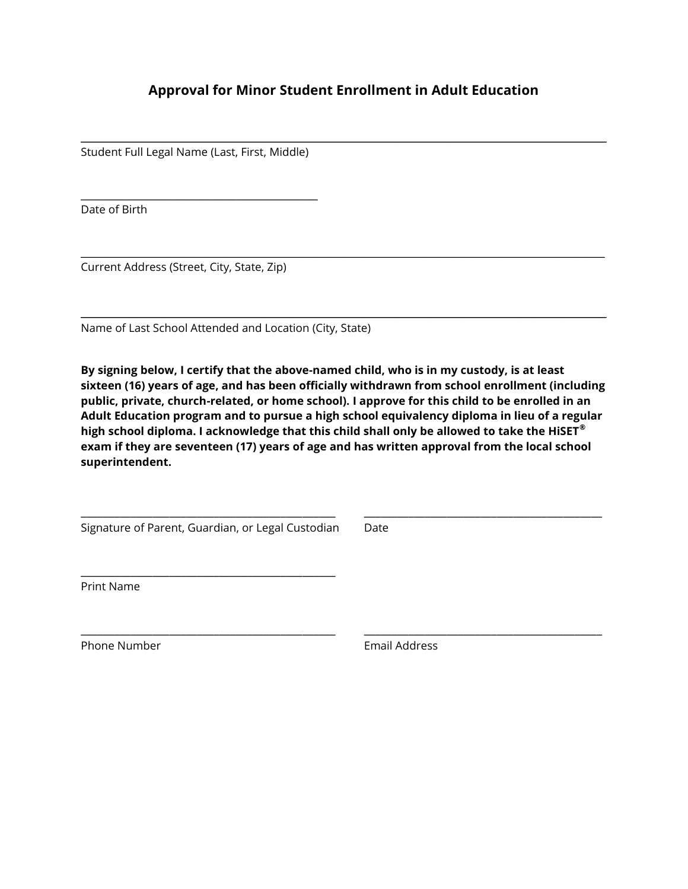### **Approval for Minor Student Enrollment in Adult Education**

\_\_\_\_\_\_\_\_\_\_\_\_\_\_\_\_\_\_\_\_\_\_\_\_\_\_\_\_\_\_\_\_\_\_\_\_\_\_\_\_\_\_\_\_\_\_\_\_\_\_\_\_\_\_\_\_\_\_\_\_\_\_\_\_\_\_\_\_\_\_\_\_\_\_\_\_\_\_\_\_\_\_\_\_\_\_\_

\_\_\_\_\_\_\_\_\_\_\_\_\_\_\_\_\_\_\_\_\_\_\_\_\_\_\_\_\_\_\_\_\_\_\_\_\_\_\_\_\_\_\_\_\_\_\_\_\_\_\_\_\_\_\_\_\_\_\_\_\_\_\_\_\_\_\_\_\_\_\_\_\_\_\_\_\_\_\_\_\_\_\_\_\_\_\_\_\_\_\_\_\_\_\_\_\_\_\_\_\_\_\_\_

\_\_\_\_\_\_\_\_\_\_\_\_\_\_\_\_\_\_\_\_\_\_\_\_\_\_\_\_\_\_\_\_\_\_\_\_\_\_\_\_\_\_\_\_\_\_\_\_\_\_\_\_\_\_\_\_\_\_\_\_\_\_\_\_\_\_\_\_\_\_\_\_\_\_\_\_\_\_\_\_\_\_\_\_\_\_\_

Student Full Legal Name (Last, First, Middle)

 $\mathcal{L}_\text{max} = \mathcal{L}_\text{max} = \mathcal{L}_\text{max} = \mathcal{L}_\text{max} = \mathcal{L}_\text{max} = \mathcal{L}_\text{max} = \mathcal{L}_\text{max}$ 

Date of Birth

Current Address (Street, City, State, Zip)

Name of Last School Attended and Location (City, State)

**By signing below, I certify that the above-named child, who is in my custody, is at least sixteen (16) years of age, and has been officially withdrawn from school enrollment (including public, private, church-related, or home school). I approve for this child to be enrolled in an Adult Education program and to pursue a high school equivalency diploma in lieu of a regular high school diploma. I acknowledge that this child shall only be allowed to take the HiSET® exam if they are seventeen (17) years of age and has written approval from the local school superintendent.**

\_\_\_\_\_\_\_\_\_\_\_\_\_\_\_\_\_\_\_\_\_\_\_\_\_\_\_\_\_\_\_\_\_\_\_\_\_\_\_\_\_\_\_\_\_\_ \_\_\_\_\_\_\_\_\_\_\_\_\_\_\_\_\_\_\_\_\_\_\_\_\_\_\_\_\_\_\_\_\_\_\_\_\_\_\_\_\_\_\_

\_\_\_\_\_\_\_\_\_\_\_\_\_\_\_\_\_\_\_\_\_\_\_\_\_\_\_\_\_\_\_\_\_\_\_\_\_\_\_\_\_\_\_\_\_\_ \_\_\_\_\_\_\_\_\_\_\_\_\_\_\_\_\_\_\_\_\_\_\_\_\_\_\_\_\_\_\_\_\_\_\_\_\_\_\_\_\_\_\_

Signature of Parent, Guardian, or Legal Custodian Date

\_\_\_\_\_\_\_\_\_\_\_\_\_\_\_\_\_\_\_\_\_\_\_\_\_\_\_\_\_\_\_\_\_\_\_\_\_\_\_\_\_\_\_\_\_\_

Print Name

Phone Number **Email Address**